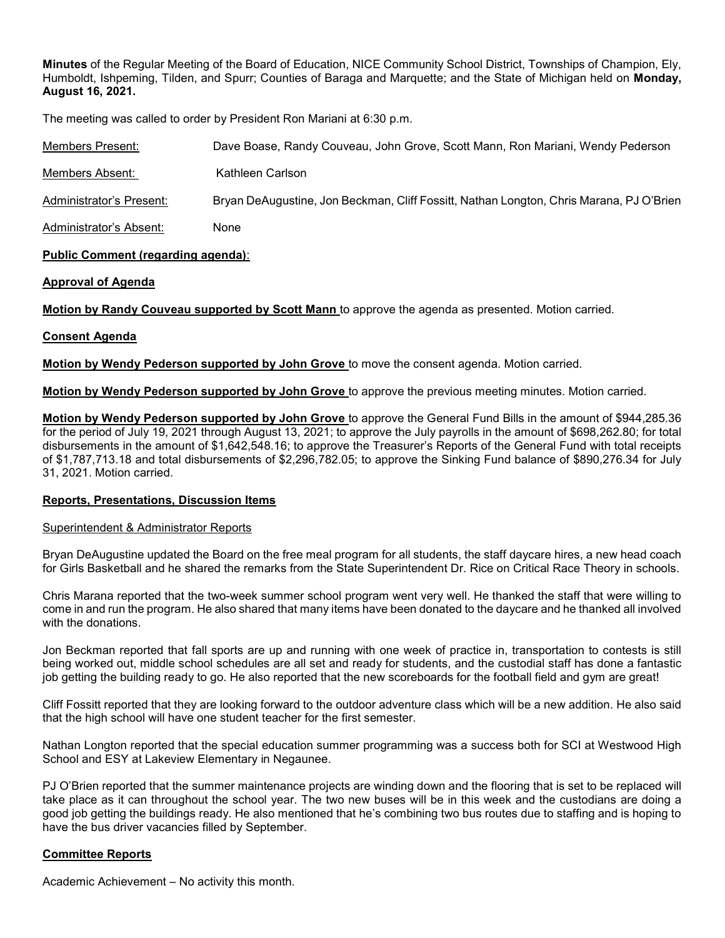Minutes of the Regular Meeting of the Board of Education, NICE Community School District, Townships of Champion, Ely, Humboldt, Ishpeming, Tilden, and Spurr; Counties of Baraga and Marquette; and the State of Michigan held on Monday, August 16, 2021.

The meeting was called to order by President Ron Mariani at 6:30 p.m.

| Members Present:         | Dave Boase, Randy Couveau, John Grove, Scott Mann, Ron Mariani, Wendy Pederson          |
|--------------------------|-----------------------------------------------------------------------------------------|
| Members Absent:          | Kathleen Carlson                                                                        |
| Administrator's Present: | Bryan DeAugustine, Jon Beckman, Cliff Fossitt, Nathan Longton, Chris Marana, PJ O'Brien |
| Administrator's Absent:  | None                                                                                    |

# Public Comment (regarding agenda):

# Approval of Agenda

Motion by Randy Couveau supported by Scott Mann to approve the agenda as presented. Motion carried.

# Consent Agenda

Motion by Wendy Pederson supported by John Grove to move the consent agenda. Motion carried.

Motion by Wendy Pederson supported by John Grove to approve the previous meeting minutes. Motion carried.

Motion by Wendy Pederson supported by John Grove to approve the General Fund Bills in the amount of \$944,285.36 for the period of July 19, 2021 through August 13, 2021; to approve the July payrolls in the amount of \$698,262.80; for total disbursements in the amount of \$1,642,548.16; to approve the Treasurer's Reports of the General Fund with total receipts of \$1,787,713.18 and total disbursements of \$2,296,782.05; to approve the Sinking Fund balance of \$890,276.34 for July 31, 2021. Motion carried.

### Reports, Presentations, Discussion Items

### Superintendent & Administrator Reports

Bryan DeAugustine updated the Board on the free meal program for all students, the staff daycare hires, a new head coach for Girls Basketball and he shared the remarks from the State Superintendent Dr. Rice on Critical Race Theory in schools.

Chris Marana reported that the two-week summer school program went very well. He thanked the staff that were willing to come in and run the program. He also shared that many items have been donated to the daycare and he thanked all involved with the donations.

Jon Beckman reported that fall sports are up and running with one week of practice in, transportation to contests is still being worked out, middle school schedules are all set and ready for students, and the custodial staff has done a fantastic job getting the building ready to go. He also reported that the new scoreboards for the football field and gym are great!

Cliff Fossitt reported that they are looking forward to the outdoor adventure class which will be a new addition. He also said that the high school will have one student teacher for the first semester.

Nathan Longton reported that the special education summer programming was a success both for SCI at Westwood High School and ESY at Lakeview Elementary in Negaunee.

PJ O'Brien reported that the summer maintenance projects are winding down and the flooring that is set to be replaced will take place as it can throughout the school year. The two new buses will be in this week and the custodians are doing a good job getting the buildings ready. He also mentioned that he's combining two bus routes due to staffing and is hoping to have the bus driver vacancies filled by September.

# Committee Reports

Academic Achievement – No activity this month.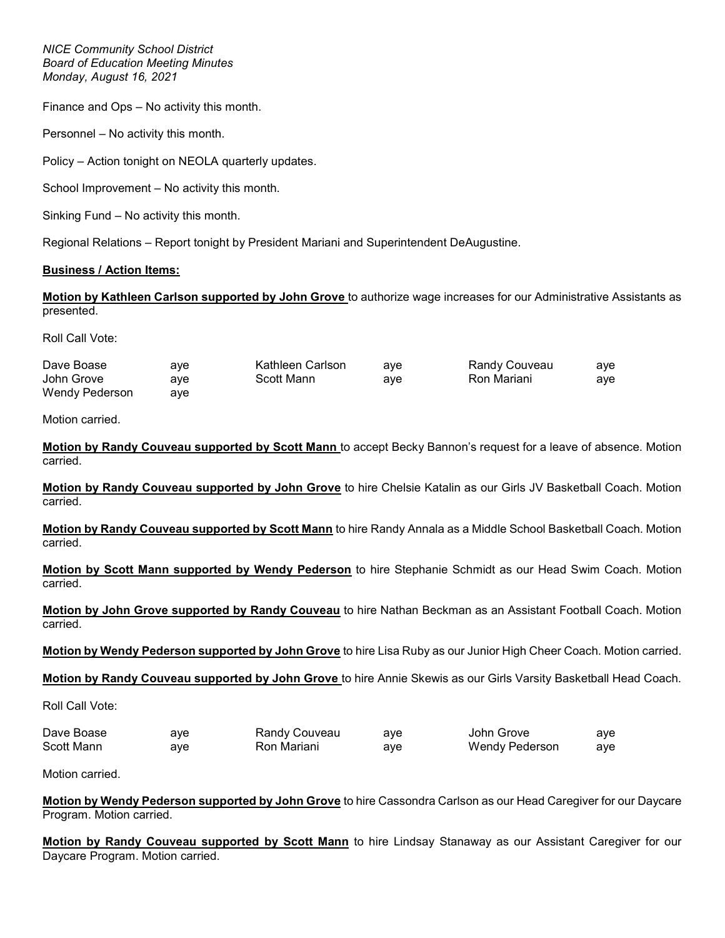NICE Community School District Board of Education Meeting Minutes Monday, August 16, 2021

Finance and Ops – No activity this month.

Personnel – No activity this month.

Policy – Action tonight on NEOLA quarterly updates.

School Improvement – No activity this month.

Sinking Fund – No activity this month.

Regional Relations – Report tonight by President Mariani and Superintendent DeAugustine.

# Business / Action Items:

Motion by Kathleen Carlson supported by John Grove to authorize wage increases for our Administrative Assistants as presented.

Roll Call Vote:

| Dave Boase     | ave | Kathleen Carlson | ave | Randy Couveau | ave |
|----------------|-----|------------------|-----|---------------|-----|
| John Grove     | ave | Scott Mann       | ave | Ron Mariani   | aye |
| Wendy Pederson | ave |                  |     |               |     |

Motion carried.

Motion by Randy Couveau supported by Scott Mann to accept Becky Bannon's request for a leave of absence. Motion carried.

Motion by Randy Couveau supported by John Grove to hire Chelsie Katalin as our Girls JV Basketball Coach. Motion carried.

Motion by Randy Couveau supported by Scott Mann to hire Randy Annala as a Middle School Basketball Coach. Motion carried.

Motion by Scott Mann supported by Wendy Pederson to hire Stephanie Schmidt as our Head Swim Coach. Motion carried.

Motion by John Grove supported by Randy Couveau to hire Nathan Beckman as an Assistant Football Coach. Motion carried.

Motion by Wendy Pederson supported by John Grove to hire Lisa Ruby as our Junior High Cheer Coach. Motion carried.

Motion by Randy Couveau supported by John Grove to hire Annie Skewis as our Girls Varsity Basketball Head Coach.

Roll Call Vote:

| Dave Boase | ave | Randy Couveau | ave | John Grove     | aye |
|------------|-----|---------------|-----|----------------|-----|
| Scott Mann | ave | Ron Mariani   | ave | Wendy Pederson | ave |

Motion carried.

Motion by Wendy Pederson supported by John Grove to hire Cassondra Carlson as our Head Caregiver for our Daycare Program. Motion carried.

Motion by Randy Couveau supported by Scott Mann to hire Lindsay Stanaway as our Assistant Caregiver for our Daycare Program. Motion carried.